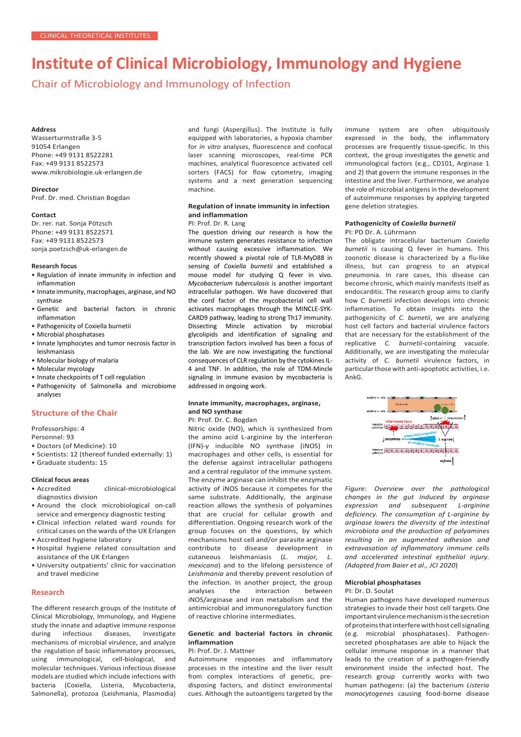# **Institute of Clinical Microbiology, Immunology and Hygiene**

Chair of Microbiology and Immunology of Infection

#### **Address**

Wasserturmstraße 3-5 91054 Erlangen Phone: +49 9131 8522281 Fax: +49 9131 8522573 [www.mikrobiologie.uk-erlangen.de](http://www.mikrobiologie.uk-erlangen.de/)

# **Director**

Prof. Dr. med. Christian Bogdan

#### **Contact**

Dr. rer. nat. Sonja Pötzsch Phone: +49 9131 8522571 Fax: +49 9131 8522573 [sonja.poetzsch@uk-erlangen.de](mailto:sonja.poetzsch@uk-erlangen.de)

#### **Research focus**

- Regulation of innate immunity in infection and inflammation
- Innate immunity, macrophages, arginase, and NO synthase
- Genetic and bacterial factors in chronic inflammation
- Pathogenicity of Coxiella burnetii
- Microbial phosphatases
- Innate lymphocytes and tumor necrosis factor in leishmaniasis
- Molecular biology of malaria
- Molecular mycology
- Innate checkpoints of T cell regulation
- Pathogenicity of Salmonella and microbiome analyses

# **Structure of the Chair**

Professorships: 4

Personnel: 93

- Doctors (of Medicine): 10
- Scientists: 12 (thereof funded externally: 1)
- Graduate students: 15

# **Clinical focus areas**

- Accredited clinical-microbiological diagnostics division
- Around the clock microbiological on-call service and emergency diagnostic testing
- Clinical infection related ward rounds for critical cases on the wards of the UK Erlangen
- Accredited hygiene laboratory
- Hospital hygiene related consultation and assistance of the UK Erlangen
- University outpatients' clinic for vaccination and travel medicine

# **Research**

The different research groups of the Institute of Clinical Microbiology, Immunology, and Hygiene study the innate and adaptive immune response during infectious diseases, investigate mechanisms of microbial virulence, and analyze the regulation of basic inflammatory processes, using immunological, cell-biological, and molecular techniques. Various infectious disease models are studied which include infections with bacteria (Coxiella, Listeria, Mycobacteria, Salmonella), protozoa (Leishmania, Plasmodia) and fungi (Aspergillus). The Institute is fully equipped with laboratories, a hypoxia chamber for *in vitro* analyses, fluorescence and confocal laser scanning microscopes, real-time PCR machines, analytical fluorescence activated cell sorters (FACS) for flow cytometry, imaging systems and a next generation sequencing machine.

# **Regulation of innate immunity in infection and inflammation**

## PI: Prof. Dr. R. Lang

The question driving our research is how the immune system generates resistance to infection without causing excessive inflammation. We recently showed a pivotal role of TLR-MyD88 in sensing of *Coxiella burnetii* and established a mouse model for studying Q fever in vivo. *Mycobacterium tuberculosis* is another important intracellular pathogen. We have discovered that the cord factor of the mycobacterial cell wall activates macrophages through the MINCLE-SYK-CARD9 pathway, leading to strong Th17 immunity. Dissecting Mincle activation by microbial glycolipids and identification of signaling and transcription factors involved has been a focus of the lab. We are now investigating the functional consequences of CLR regulation by the cytokines IL-4 and TNF. In addition, the role of TDM-Mincle signaling in immune evasion by mycobacteria is addressed in ongoing work.

# **Innate immunity, macrophages, arginase, and NO synthase**

PI: Prof. Dr. C. Bogdan

Nitric oxide (NO), which is synthesized from the amino acid L-arginine by the interferon (IFN)-γ inducible NO synthase (iNOS) in macrophages and other cells, is essential for the defense against intracellular pathogens and a central regulator of the immune system. The enzyme arginase can inhibit the enzymatic activity of iNOS because it competes for the same substrate. Additionally, the arginase reaction allows the synthesis of polyamines that are crucial for cellular growth and differentiation. Ongoing research work of the group focuses on the questions, by which mechanisms host cell and/or parasite arginase contribute to disease development in cutaneous leishmaniasis (*L. major, L. mexicana*) and to the lifelong persistence of *Leishmania* and thereby prevent resolution of the infection. In another project, the group<br>analyses the interaction between analyses the interaction iNOS/arginase and iron metabolism and the antimicrobial and immunoregulatory function of reactive chlorine intermediates.

# **Genetic and bacterial factors in chronic inflammation**

## PI: Prof. Dr. J. Mattner

Autoimmune responses and inflammatory processes in the intestine and the liver result from complex interactions of genetic, predisposing factors, and distinct environmental cues. Although the autoantigens targeted by the

immune system are often ubiquitously expressed in the body, the inflammatory processes are frequently tissue-specific. In this context, the group investigates the genetic and immunological factors (e.g., CD101, Arginase 1 and 2) that govern the immune responses in the intestine and the liver. Furthermore, we analyze the role of microbial antigens in the development of autoimmune responses by applying targeted gene deletion strategies.

#### **Pathogenicity of** *Coxiella burnetii* PI: PD Dr. A. Lührmann

The obligate intracellular bacterium *Coxiella burnetii* is causing Q fever in humans. This zoonotic disease is characterized by a flu-like illness, but can progress to an atypical pneumonia. In rare cases, this disease can become chronic, which mainly manifests itself as endocarditis. The research group aims to clarify how *C. burnetii* infection develops into chronic inflammation. To obtain insights into the pathogenicity of *C. burnetii*, we are analyzing host cell factors and bacterial virulence factors that are necessary for the establishment of the replicative *C. burnetii*-containing vacuole. Additionally, we are investigating the molecular activity of *C. burnetii* virulence factors, in particular those with anti-apoptotic activities, i.e. AnkG.



*Figure: Overview over the pathological changes in the gut induced by arginase expression and subsequent L-arginine deficiency. The consumption of L-arginine by arginase lowers the diversity of the intestinal microbiota and the production of polyamines resulting in an augmented adhesion and extravasation of inflammatory immune cells and accelerated intestinal epithelial injury. (Adapted from Baier et al., JCI 2020*)

# **Microbial phosphatases**

#### PI: Dr. D. Soulat

Human pathogens have developed numerous strategies to invade their host cell targets.One importantvirulencemechanismisthesecretion of proteins that interfere with host cell signaling (e.g. microbial phosphatases). Pathogensecreted phosphatases are able to hijack the cellular immune response in a manner that leads to the creation of a pathogen-friendly environment inside the infected host. The research group currently works with two human pathogens: (a) the bacterium *Listeria monocytogenes* causing food-borne disease